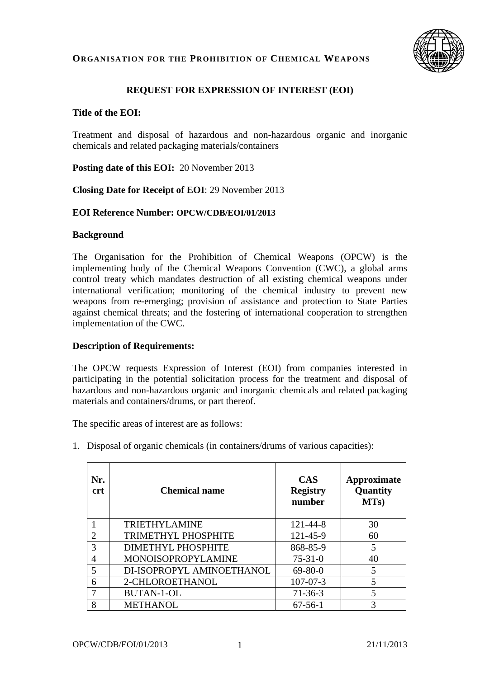

## **REQUEST FOR EXPRESSION OF INTEREST (EOI)**

#### **Title of the EOI:**

Treatment and disposal of hazardous and non-hazardous organic and inorganic chemicals and related packaging materials/containers

**Posting date of this EOI:** 20 November 2013

**Closing Date for Receipt of EOI**: 29 November 2013

#### **EOI Reference Number: OPCW/CDB/EOI/01/2013**

#### **Background**

The Organisation for the Prohibition of Chemical Weapons (OPCW) is the implementing body of the Chemical Weapons Convention (CWC), a global arms control treaty which mandates destruction of all existing chemical weapons under international verification; monitoring of the chemical industry to prevent new weapons from re-emerging; provision of assistance and protection to State Parties against chemical threats; and the fostering of international cooperation to strengthen implementation of the CWC.

#### **Description of Requirements:**

The OPCW requests Expression of Interest (EOI) from companies interested in participating in the potential solicitation process for the treatment and disposal of hazardous and non-hazardous organic and inorganic chemicals and related packaging materials and containers/drums, or part thereof.

The specific areas of interest are as follows:

1. Disposal of organic chemicals (in containers/drums of various capacities):

| Nr.<br><b>crt</b> | <b>Chemical name</b>      | <b>CAS</b><br><b>Registry</b><br>number | <b>Approximate</b><br>Quantity<br>MTs) |
|-------------------|---------------------------|-----------------------------------------|----------------------------------------|
|                   | <b>TRIETHYLAMINE</b>      | $121 - 44 - 8$                          | 30                                     |
| $\overline{2}$    | TRIMETHYL PHOSPHITE       | 121-45-9                                | 60                                     |
| 3                 | DIMETHYL PHOSPHITE        | 868-85-9                                | 5                                      |
| 4                 | MONOISOPROPYLAMINE        | $75 - 31 - 0$                           | 40                                     |
|                   | DI-ISOPROPYL AMINOETHANOL | $69 - 80 - 0$                           | 5                                      |
| 6                 | 2-CHLOROETHANOL           | $107 - 07 - 3$                          | 5                                      |
|                   | <b>BUTAN-1-OL</b>         | $71 - 36 - 3$                           | 5                                      |
| 8                 | <b>METHANOL</b>           | $67 - 56 - 1$                           |                                        |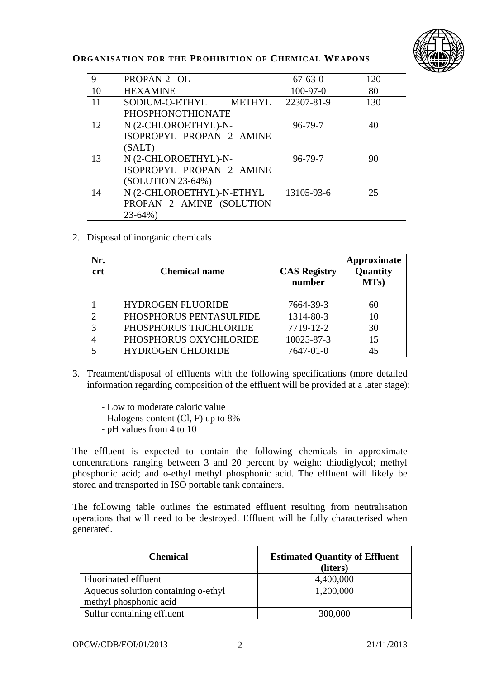

| 9  | PROPAN-2-OL               | $67 - 63 - 0$ | 120 |
|----|---------------------------|---------------|-----|
| 10 | <b>HEXAMINE</b>           | $100-97-0$    | 80  |
| 11 | SODIUM-O-ETHYL METHYL     | 22307-81-9    | 130 |
|    | <b>PHOSPHONOTHIONATE</b>  |               |     |
| 12 | N (2-CHLOROETHYL)-N-      | $96 - 79 - 7$ | 40  |
|    | ISOPROPYL PROPAN 2 AMINE  |               |     |
|    | (SALT)                    |               |     |
| 13 | N (2-CHLOROETHYL)-N-      | $96 - 79 - 7$ | 90  |
|    | ISOPROPYL PROPAN 2 AMINE  |               |     |
|    | (SOLUTION 23-64%)         |               |     |
| 14 | N (2-CHLOROETHYL)-N-ETHYL | 13105-93-6    | 25  |
|    | PROPAN 2 AMINE (SOLUTION  |               |     |
|    | $23-64%$                  |               |     |

## 2. Disposal of inorganic chemicals

| Nr.<br>crt | <b>Chemical name</b>     | <b>CAS Registry</b><br>number | Approximate<br>Quantity<br>MTs) |
|------------|--------------------------|-------------------------------|---------------------------------|
|            | <b>HYDROGEN FLUORIDE</b> | 7664-39-3                     | 60                              |
|            | PHOSPHORUS PENTASULFIDE  | 1314-80-3                     | 10                              |
|            | PHOSPHORUS TRICHLORIDE   | 7719-12-2                     | 30                              |
|            | PHOSPHORUS OXYCHLORIDE   | 10025-87-3                    | 15                              |
|            | <b>HYDROGEN CHLORIDE</b> | 7647-01-0                     |                                 |

- 3. Treatment/disposal of effluents with the following specifications (more detailed information regarding composition of the effluent will be provided at a later stage):
	- Low to moderate caloric value
	- Halogens content (Cl, F) up to 8%
	- pH values from 4 to 10

The effluent is expected to contain the following chemicals in approximate concentrations ranging between 3 and 20 percent by weight: thiodiglycol; methyl phosphonic acid; and o-ethyl methyl phosphonic acid. The effluent will likely be stored and transported in ISO portable tank containers.

The following table outlines the estimated effluent resulting from neutralisation operations that will need to be destroyed. Effluent will be fully characterised when generated.

| <b>Chemical</b>                                               | <b>Estimated Quantity of Effluent</b><br>(liters) |
|---------------------------------------------------------------|---------------------------------------------------|
| Fluorinated effluent                                          | 4,400,000                                         |
| Aqueous solution containing o-ethyl<br>methyl phosphonic acid | 1,200,000                                         |
| Sulfur containing effluent                                    | 300,000                                           |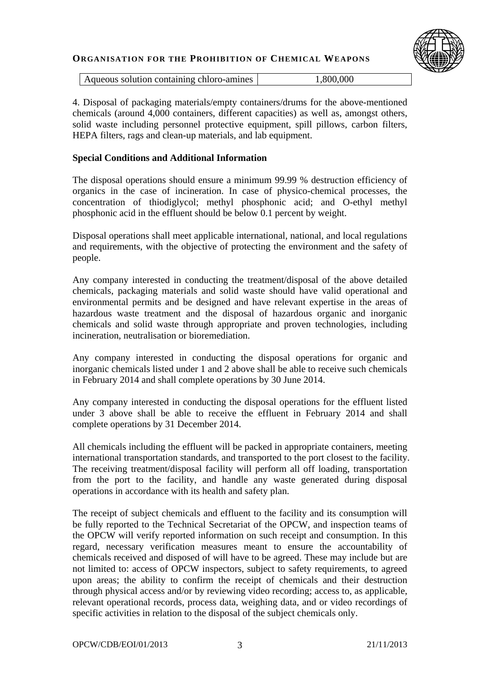

Aqueous solution containing chloro-amines 1,800,000

4. Disposal of packaging materials/empty containers/drums for the above-mentioned chemicals (around 4,000 containers, different capacities) as well as, amongst others, solid waste including personnel protective equipment, spill pillows, carbon filters, HEPA filters, rags and clean-up materials, and lab equipment.

## **Special Conditions and Additional Information**

The disposal operations should ensure a minimum 99.99 % destruction efficiency of organics in the case of incineration. In case of physico-chemical processes, the concentration of thiodiglycol; methyl phosphonic acid; and O-ethyl methyl phosphonic acid in the effluent should be below 0.1 percent by weight.

Disposal operations shall meet applicable international, national, and local regulations and requirements, with the objective of protecting the environment and the safety of people.

Any company interested in conducting the treatment/disposal of the above detailed chemicals, packaging materials and solid waste should have valid operational and environmental permits and be designed and have relevant expertise in the areas of hazardous waste treatment and the disposal of hazardous organic and inorganic chemicals and solid waste through appropriate and proven technologies, including incineration, neutralisation or bioremediation.

Any company interested in conducting the disposal operations for organic and inorganic chemicals listed under 1 and 2 above shall be able to receive such chemicals in February 2014 and shall complete operations by 30 June 2014.

Any company interested in conducting the disposal operations for the effluent listed under 3 above shall be able to receive the effluent in February 2014 and shall complete operations by 31 December 2014.

All chemicals including the effluent will be packed in appropriate containers, meeting international transportation standards, and transported to the port closest to the facility. The receiving treatment/disposal facility will perform all off loading, transportation from the port to the facility, and handle any waste generated during disposal operations in accordance with its health and safety plan.

The receipt of subject chemicals and effluent to the facility and its consumption will be fully reported to the Technical Secretariat of the OPCW, and inspection teams of the OPCW will verify reported information on such receipt and consumption. In this regard, necessary verification measures meant to ensure the accountability of chemicals received and disposed of will have to be agreed. These may include but are not limited to: access of OPCW inspectors, subject to safety requirements, to agreed upon areas; the ability to confirm the receipt of chemicals and their destruction through physical access and/or by reviewing video recording; access to, as applicable, relevant operational records, process data, weighing data, and or video recordings of specific activities in relation to the disposal of the subject chemicals only.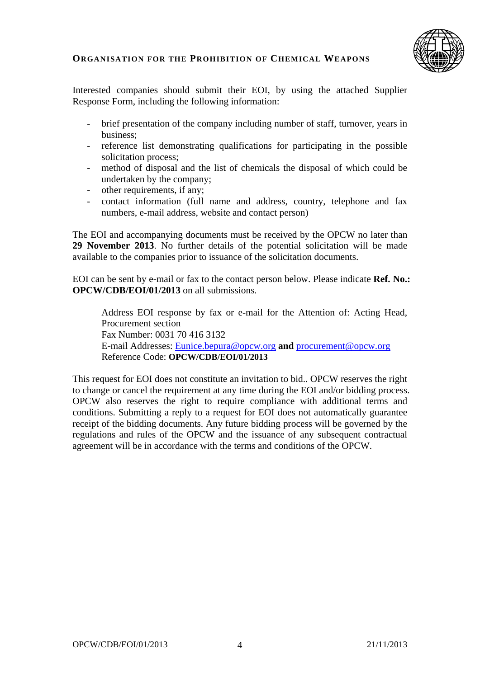

Interested companies should submit their EOI, by using the attached Supplier Response Form, including the following information:

- brief presentation of the company including number of staff, turnover, years in business;
- reference list demonstrating qualifications for participating in the possible solicitation process;
- method of disposal and the list of chemicals the disposal of which could be undertaken by the company;
- other requirements, if any:
- contact information (full name and address, country, telephone and fax numbers, e-mail address, website and contact person)

The EOI and accompanying documents must be received by the OPCW no later than **29 November 2013**. No further details of the potential solicitation will be made available to the companies prior to issuance of the solicitation documents.

EOI can be sent by e-mail or fax to the contact person below. Please indicate **Ref. No.: OPCW/CDB/EOI/01/2013** on all submissions*.*

Address EOI response by fax or e-mail for the Attention of: Acting Head, Procurement section Fax Number: 0031 70 416 3132 E-mail Addresses: [Eunice.bepura@opcw.org](mailto:Eunice.bepura@opcw.org) **and** procurement@opcw.org Reference Code: **OPCW/CDB/EOI/01/2013**

This request for EOI does not constitute an invitation to bid.. OPCW reserves the right to change or cancel the requirement at any time during the EOI and/or bidding process. OPCW also reserves the right to require compliance with additional terms and conditions. Submitting a reply to a request for EOI does not automatically guarantee receipt of the bidding documents. Any future bidding process will be governed by the regulations and rules of the OPCW and the issuance of any subsequent contractual agreement will be in accordance with the terms and conditions of the OPCW.